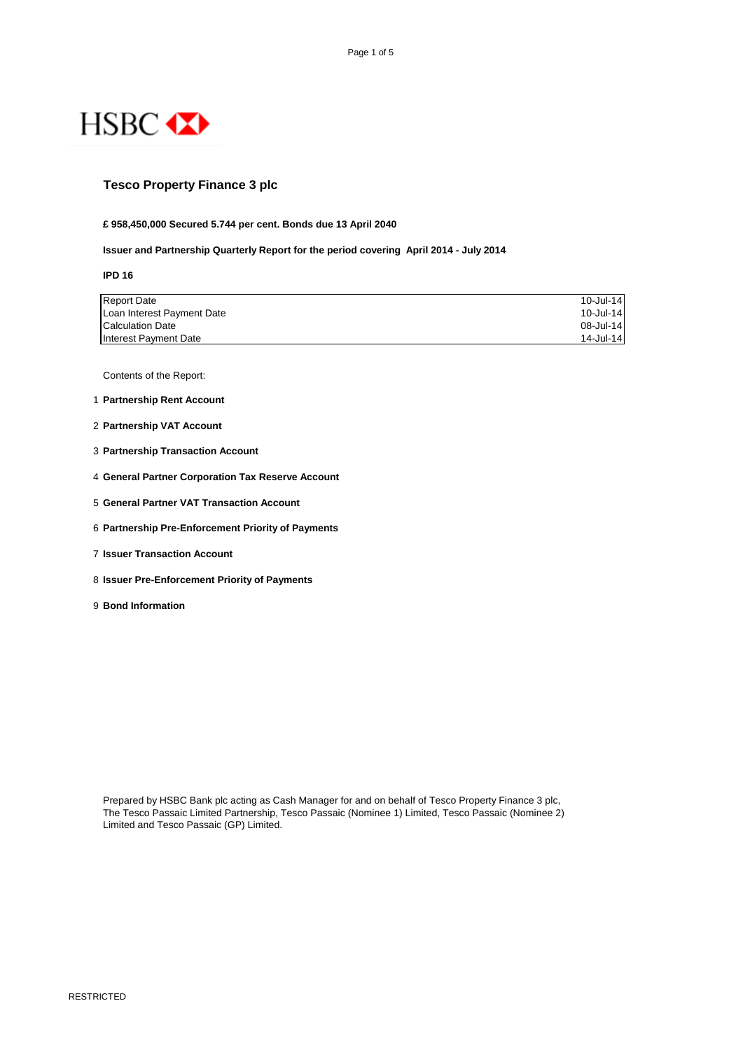

# **Tesco Property Finance 3 plc**

#### **£ 958,450,000 Secured 5.744 per cent. Bonds due 13 April 2040**

#### **Issuer and Partnership Quarterly Report for the period covering April 2014 - July 2014**

**IPD 16**

| <b>Report Date</b>         | 10-Jul-14 |
|----------------------------|-----------|
| Loan Interest Payment Date | 10-Jul-14 |
| <b>Calculation Date</b>    | 08-Jul-14 |
| Interest Payment Date      | 14-Jul-14 |

Contents of the Report:

- 1 **Partnership Rent Account**
- 2 **Partnership VAT Account**
- 3 **Partnership Transaction Account**
- 4 **General Partner Corporation Tax Reserve Account**
- 5 **General Partner VAT Transaction Account**
- 6 **Partnership Pre-Enforcement Priority of Payments**
- 7 **Issuer Transaction Account**
- 8 **Issuer Pre-Enforcement Priority of Payments**
- 9 **Bond Information**

Prepared by HSBC Bank plc acting as Cash Manager for and on behalf of Tesco Property Finance 3 plc, The Tesco Passaic Limited Partnership, Tesco Passaic (Nominee 1) Limited, Tesco Passaic (Nominee 2) Limited and Tesco Passaic (GP) Limited.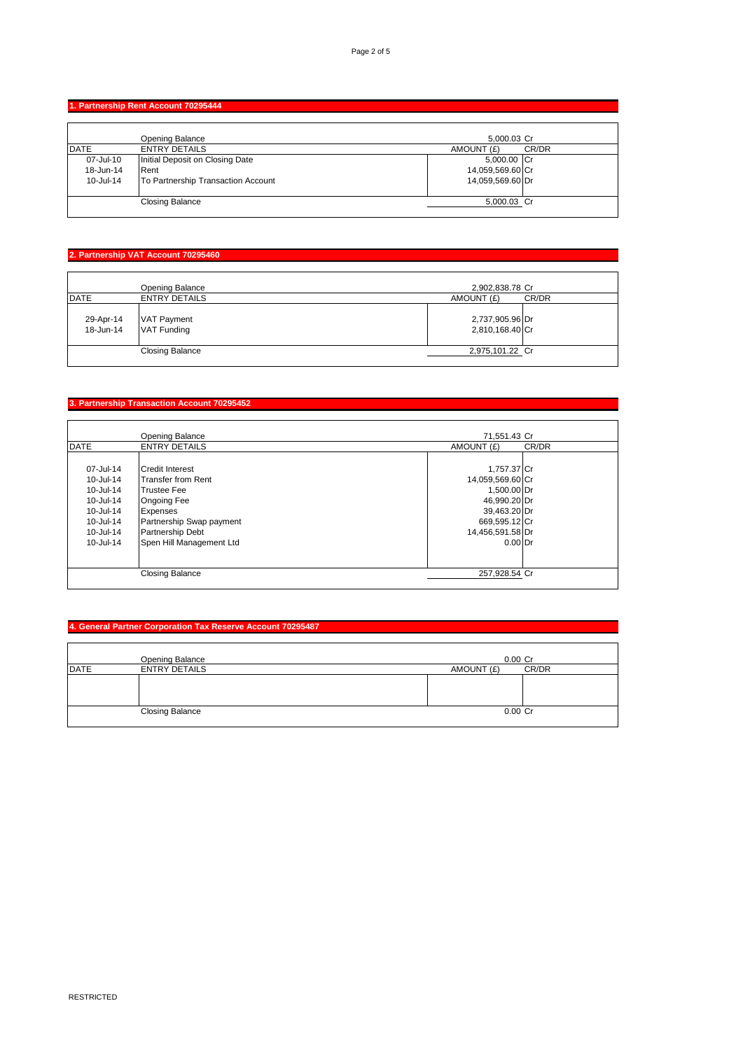## **1. Partnership Rent Account 70295444**

|             | Opening Balance                    | 5,000.03 Cr      |       |
|-------------|------------------------------------|------------------|-------|
| <b>DATE</b> | <b>ENTRY DETAILS</b>               | AMOUNT (£)       | CR/DR |
| 07-Jul-10   | Initial Deposit on Closing Date    | 5,000.00 Cr      |       |
| 18-Jun-14   | Rent                               | 14,059,569.60 Cr |       |
| 10-Jul-14   | To Partnership Transaction Account | 14,059,569.60 Dr |       |
|             |                                    |                  |       |
|             | <b>Closing Balance</b>             | 5,000.03 Cr      |       |
|             |                                    |                  |       |

# **2. Partnership VAT Account 70295460**

|                        | <b>Opening Balance</b>                   | 2,902,838.78 Cr                    |       |
|------------------------|------------------------------------------|------------------------------------|-------|
| <b>DATE</b>            | <b>ENTRY DETAILS</b>                     | AMOUNT (£)                         | CR/DR |
| 29-Apr-14<br>18-Jun-14 | <b>VAT Payment</b><br><b>VAT Funding</b> | 2,737,905.96 Dr<br>2,810,168.40 Cr |       |
|                        | <b>Closing Balance</b>                   | 2,975,101.22 Cr                    |       |
|                        |                                          |                                    |       |

# **3. Partnership Transaction Account 70295452**

|              | <b>Opening Balance</b>    | 71,551.43 Cr     |       |
|--------------|---------------------------|------------------|-------|
| <b>IDATE</b> | <b>ENTRY DETAILS</b>      | AMOUNT (£)       | CR/DR |
|              |                           |                  |       |
| 07-Jul-14    | <b>Credit Interest</b>    | 1,757.37 Cr      |       |
| 10-Jul-14    | <b>Transfer from Rent</b> | 14,059,569.60 Cr |       |
| 10-Jul-14    | <b>Trustee Fee</b>        | 1.500.00 Dr      |       |
| 10-Jul-14    | <b>Ongoing Fee</b>        | 46,990.20 Dr     |       |
| 10-Jul-14    | Expenses                  | 39,463.20 Dr     |       |
| 10-Jul-14    | Partnership Swap payment  | 669,595.12 Cr    |       |
| 10-Jul-14    | <b>Partnership Debt</b>   | 14,456,591.58 Dr |       |
| 10-Jul-14    | Spen Hill Management Ltd  | $0.00$ Dr        |       |
|              |                           |                  |       |
|              |                           |                  |       |
|              | <b>Closing Balance</b>    | 257,928.54 Cr    |       |
|              |                           |                  |       |

## **4. General Partner Corporation Tax Reserve Account 70295487**

|             | <b>Opening Balance</b> | $0.00$ Cr           |
|-------------|------------------------|---------------------|
| <b>DATE</b> | <b>ENTRY DETAILS</b>   | CR/DR<br>AMOUNT (£) |
|             |                        |                     |
|             | <b>Closing Balance</b> | $0.00$ Cr           |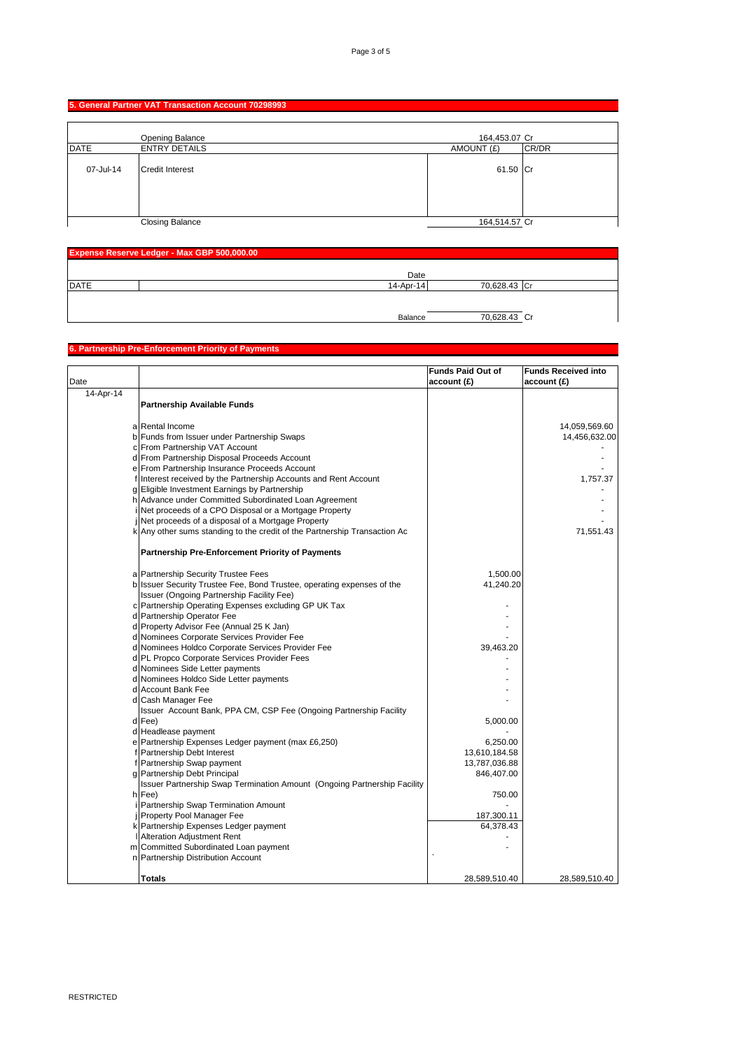## **5. General Partner VAT Transaction Account 70298993**

|             | Opening Balance        | 164,453.07 Cr |       |
|-------------|------------------------|---------------|-------|
| <b>DATE</b> | <b>ENTRY DETAILS</b>   | AMOUNT (£)    | CR/DR |
| 07-Jul-14   | <b>Credit Interest</b> | 61.50 Cr      |       |
|             | <b>Closing Balance</b> | 164,514.57 Cr |       |

| Expense Reserve Ledger - Max GBP 500,000.00 |           |              |  |
|---------------------------------------------|-----------|--------------|--|
|                                             | Date      |              |  |
| <b>DATE</b>                                 | 14-Apr-14 | 70,628.43 Cr |  |
|                                             |           |              |  |
|                                             | Balance   | 70,628.43 Cr |  |

#### **6. Partnership Pre-Enforcement Priority of Payments**

|           |                                                                           | <b>Funds Paid Out of</b> | <b>Funds Received into</b> |
|-----------|---------------------------------------------------------------------------|--------------------------|----------------------------|
| Date      |                                                                           | account (£)              | account (£)                |
| 14-Apr-14 |                                                                           |                          |                            |
|           | Partnership Available Funds                                               |                          |                            |
|           |                                                                           |                          |                            |
|           | a Rental Income                                                           |                          | 14,059,569.60              |
|           | b Funds from Issuer under Partnership Swaps                               |                          | 14,456,632.00              |
|           | c From Partnership VAT Account                                            |                          |                            |
|           | d From Partnership Disposal Proceeds Account                              |                          |                            |
|           | e From Partnership Insurance Proceeds Account                             |                          |                            |
|           | f Interest received by the Partnership Accounts and Rent Account          |                          | 1,757.37                   |
|           | g Eligible Investment Earnings by Partnership                             |                          |                            |
|           | h Advance under Committed Subordinated Loan Agreement                     |                          |                            |
|           | Net proceeds of a CPO Disposal or a Mortgage Property                     |                          |                            |
|           | Net proceeds of a disposal of a Mortgage Property                         |                          |                            |
|           | k Any other sums standing to the credit of the Partnership Transaction Ac |                          | 71,551.43                  |
|           | <b>Partnership Pre-Enforcement Priority of Payments</b>                   |                          |                            |
|           |                                                                           |                          |                            |
|           | a Partnership Security Trustee Fees                                       | 1,500.00                 |                            |
|           | b Issuer Security Trustee Fee, Bond Trustee, operating expenses of the    | 41,240.20                |                            |
|           | Issuer (Ongoing Partnership Facility Fee)                                 |                          |                            |
|           | c Partnership Operating Expenses excluding GP UK Tax                      |                          |                            |
|           | d Partnership Operator Fee                                                |                          |                            |
|           | d Property Advisor Fee (Annual 25 K Jan)                                  |                          |                            |
|           | d Nominees Corporate Services Provider Fee                                |                          |                            |
|           | d Nominees Holdco Corporate Services Provider Fee                         | 39,463.20                |                            |
|           | d PL Propco Corporate Services Provider Fees                              |                          |                            |
|           | d Nominees Side Letter payments                                           |                          |                            |
|           | d Nominees Holdco Side Letter payments                                    |                          |                            |
|           | d Account Bank Fee                                                        |                          |                            |
|           | d Cash Manager Fee                                                        |                          |                            |
|           | Issuer Account Bank, PPA CM, CSP Fee (Ongoing Partnership Facility        |                          |                            |
|           | d Fee)                                                                    | 5,000.00                 |                            |
|           | d Headlease payment                                                       |                          |                            |
|           | e Partnership Expenses Ledger payment (max £6,250)                        | 6,250.00                 |                            |
|           | f Partnership Debt Interest                                               | 13,610,184.58            |                            |
|           | f Partnership Swap payment                                                | 13,787,036.88            |                            |
|           | g Partnership Debt Principal                                              | 846,407.00               |                            |
|           | Issuer Partnership Swap Termination Amount (Ongoing Partnership Facility  |                          |                            |
|           | h Fee)                                                                    | 750.00                   |                            |
|           | Partnership Swap Termination Amount                                       |                          |                            |
|           | j Property Pool Manager Fee                                               | 187,300.11<br>64,378.43  |                            |
|           | k Partnership Expenses Ledger payment                                     |                          |                            |
|           | I Alteration Adjustment Rent                                              |                          |                            |
|           | m Committed Subordinated Loan payment                                     |                          |                            |
|           | n Partnership Distribution Account                                        |                          |                            |
|           | <b>Totals</b>                                                             | 28,589,510.40            | 28,589,510.40              |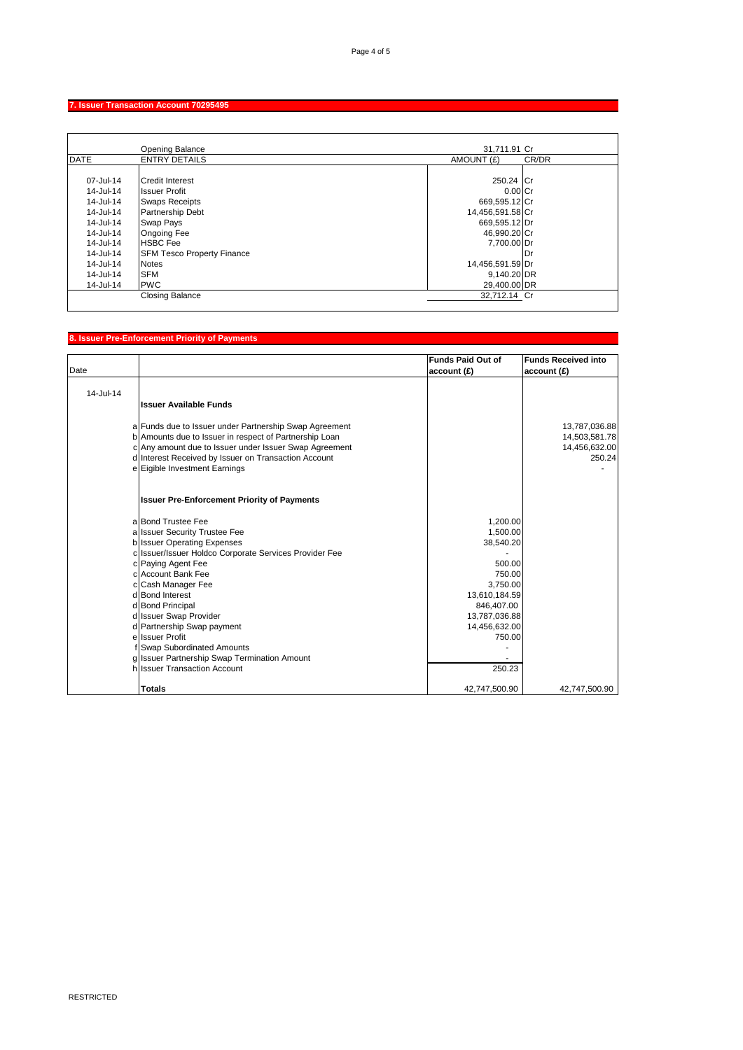## **7. Issuer Transaction Account 70295495**

|             | <b>Opening Balance</b>            | 31,711.91 Cr     |       |
|-------------|-----------------------------------|------------------|-------|
| <b>DATE</b> | <b>ENTRY DETAILS</b>              | AMOUNT (£)       | CR/DR |
|             |                                   |                  |       |
| 07-Jul-14   | <b>Credit Interest</b>            | 250.24 Cr        |       |
| 14-Jul-14   | <b>Issuer Profit</b>              | $0.00$ Cr        |       |
| 14-Jul-14   | <b>Swaps Receipts</b>             | 669,595.12 Cr    |       |
| 14-Jul-14   | <b>Partnership Debt</b>           | 14,456,591.58 Cr |       |
| 14-Jul-14   | Swap Pays                         | 669,595.12 Dr    |       |
| 14-Jul-14   | <b>Ongoing Fee</b>                | 46,990.20 Cr     |       |
| 14-Jul-14   | <b>HSBC</b> Fee                   | 7,700.00 Dr      |       |
| 14-Jul-14   | <b>SFM Tesco Property Finance</b> |                  | Dr    |
| 14-Jul-14   | <b>Notes</b>                      | 14,456,591.59 Dr |       |
| 14-Jul-14   | <b>SFM</b>                        | 9,140.20 DR      |       |
| 14-Jul-14   | <b>PWC</b>                        | 29,400.00 DR     |       |
|             | <b>Closing Balance</b>            | 32.712.14 Cr     |       |
|             |                                   |                  |       |

### **8. Issuer Pre-Enforcement Priority of Payments**

|               |                                                        | <b>Funds Paid Out of</b> | <b>Funds Received into</b> |
|---------------|--------------------------------------------------------|--------------------------|----------------------------|
| Date          |                                                        | account (£)              | account (£)                |
|               |                                                        |                          |                            |
| $14 -$ Jul-14 |                                                        |                          |                            |
|               | <b>Issuer Available Funds</b>                          |                          |                            |
|               | a Funds due to Issuer under Partnership Swap Agreement |                          | 13,787,036.88              |
|               | b Amounts due to Issuer in respect of Partnership Loan |                          | 14,503,581.78              |
|               | c Any amount due to Issuer under Issuer Swap Agreement |                          | 14,456,632.00              |
|               | d Interest Received by Issuer on Transaction Account   |                          | 250.24                     |
|               | e Eigible Investment Earnings                          |                          |                            |
|               | <b>Issuer Pre-Enforcement Priority of Payments</b>     |                          |                            |
|               | a Bond Trustee Fee                                     | 1,200.00                 |                            |
|               | a Issuer Security Trustee Fee                          | 1,500.00                 |                            |
|               | b Issuer Operating Expenses                            | 38,540.20                |                            |
|               | c Issuer/Issuer Holdco Corporate Services Provider Fee |                          |                            |
|               | c Paying Agent Fee                                     | 500.00                   |                            |
|               | c Account Bank Fee                                     | 750.00                   |                            |
|               | c Cash Manager Fee                                     | 3.750.00                 |                            |
|               | d Bond Interest                                        | 13,610,184.59            |                            |
|               | d Bond Principal                                       | 846,407.00               |                            |
|               | d Issuer Swap Provider                                 | 13,787,036.88            |                            |
|               | d Partnership Swap payment                             | 14,456,632.00            |                            |
|               | e Issuer Profit                                        | 750.00                   |                            |
|               | f Swap Subordinated Amounts                            |                          |                            |
|               | g Issuer Partnership Swap Termination Amount           |                          |                            |
|               | h Issuer Transaction Account                           | 250.23                   |                            |
|               | <b>Totals</b>                                          | 42,747,500.90            | 42,747,500.90              |